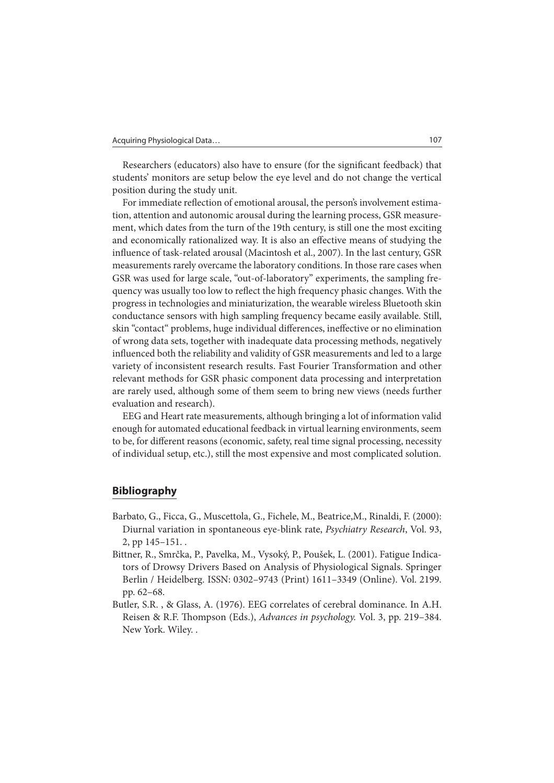Researchers (educators) also have to ensure (for the significant feedback) that students' monitors are setup below the eye level and do not change the vertical position during the study unit.

For immediate reflection of emotional arousal, the person's involvement estimation, attention and autonomic arousal during the learning process, GSR measurement, which dates from the turn of the 19th century, is still one the most exciting and economically rationalized way. It is also an effective means of studying the influence of task-related arousal (Macintosh et al., 2007). In the last century, GSR measurements rarely overcame the laboratory conditions. In those rare cases when GSR was used for large scale, "out-of-laboratory" experiments, the sampling frequency was usually too low to reflect the high frequency phasic changes. With the progress in technologies and miniaturization, the wearable wireless Bluetooth skin conductance sensors with high sampling frequency became easily available. Still, skin "contact" problems, huge individual differences, ineffective or no elimination of wrong data sets, together with inadequate data processing methods, negatively in fluenced both the reliability and validity of GSR measurements and led to a large variety of inconsistent research results. Fast Fourier Transformation and other relevant methods for GSR phasic component data processing and interpretation are rarely used, although some of them seem to bring new views (needs further evaluation and research).

EEG and Heart rate measurements, although bringing a lot of information valid enough for automated educational feedback in virtual learning environments, seem to be, for different reasons (economic, safety, real time signal processing, necessity of individual setup, etc.), still the most expensive and most complicated solution.

## **Bibliography**

- Barbato, G., Ficca, G., Muscettola, G., Fichele, M., Beatrice,M., Rinaldi, F. (2000): Diurnal variation in spontaneous eye-blink rate, Psychiatry Research, Vol. 93, 2, pp 145–151. .
- Bittner, R., Smrčka, P., Pavelka, M., Vysoký, P., Poušek, L. (2001). Fatigue Indicators of Drowsy Drivers Based on Analysis of Physiological Signals. Springer Berlin / Heidelberg. ISSN: 0302–9743 (Print) 1611–3349 (Online). Vol. 2199. pp. 62–68.
- Butler, S.R. , & Glass, A. (1976). EEG correlates of cerebral dominance. In A.H. Reisen & R.F. Thompson (Eds.), Advances in psychology. Vol. 3, pp. 219–384. New York. Wiley. .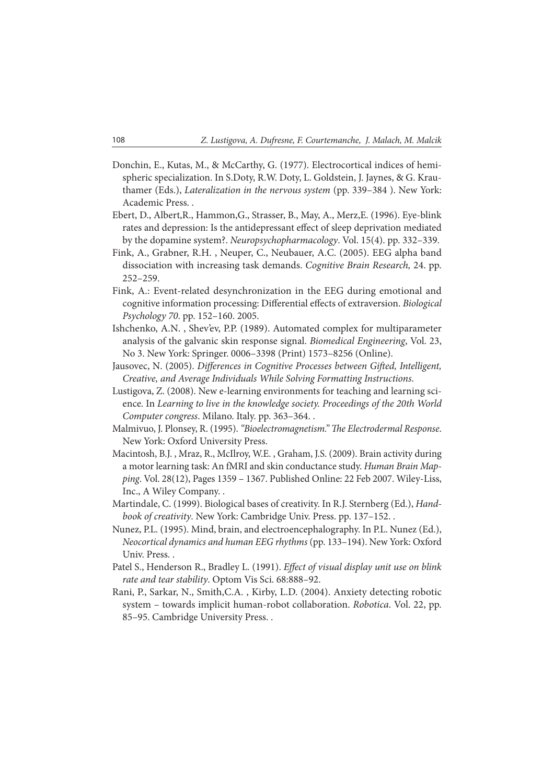- Donchin, E., Kutas, M., & McCarthy, G. (1977). Electrocortical indices of hemispheric specialization. In S.Doty, R.W. Doty, L. Goldstein, J. Jaynes, & G. Krauthamer (Eds.), Lateralization in the nervous system (pp. 339–384 ). New York: Academic Press. .
- Ebert, D., Albert,R., Hammon,G., Strasser, B., May, A., Merz,E. (1996). Eye-blink rates and depression: Is the antidepressant effect of sleep deprivation mediated by the dopamine system?. Neuropsychopharmacology. Vol. 15(4). pp. 332–339.
- Fink, A., Grabner, R.H. , Neuper, C., Neubauer, A.C. (2005). EEG alpha band dissociation with increasing task demands. Cognitive Brain Research, 24. pp. 252–259.
- Fink, A.: Event-related desynchronization in the EEG during emotional and cognitive information processing: Differential effects of extraversion. Biological Psychology 70. pp. 152–160. 2005.
- Ishchenko, A.N. , Shev'ev, P.P. (1989). Automated complex for multiparameter analysis of the galvanic skin response signal. Biomedical Engineering, Vol. 23, No 3. New York: Springer. 0006–3398 (Print) 1573–8256 (Online).
- Jausovec, N. (2005). Differences in Cognitive Processes between Gifted, Intelligent, Creative, and Average Individuals While Solving Formatting Instructions.
- Lustigova, Z. (2008). New e-learning environments for teaching and learning science. In Learning to live in the knowledge society. Proceedings of the 20th World Computer congress. Milano. Italy. pp. 363–364. .
- Malmivuo, J. Plonsey, R. (1995). "Bioelectromagnetism." The Electrodermal Response. New York: Oxford University Press.
- Macintosh, B.J. , Mraz, R., McIlroy, W.E. , Graham, J.S. (2009). Brain activity during a motor learning task: An fMRI and skin conductance study. Human Brain Mapping. Vol. 28(12), Pages 1359 – 1367. Published Online: 22 Feb 2007. Wiley-Liss, Inc., A Wiley Company. .
- Martindale, C. (1999). Biological bases of creativity. In R.J. Sternberg (Ed.), Handbook of creativity. New York: Cambridge Univ. Press. pp. 137–152. .
- Nunez, P.L. (1995). Mind, brain, and electroencephalography. In P.L. Nunez (Ed.), Neocortical dynamics and human EEG rhythms (pp. 133–194). New York: Oxford Univ. Press. .
- Patel S., Henderson R., Bradley L. (1991). Effect of visual display unit use on blink rate and tear stability. Optom Vis Sci. 68:888–92.
- Rani, P., Sarkar, N., Smith,C.A. , Kirby, L.D. (2004). Anxiety detecting robotic system – towards implicit human-robot collaboration. Robotica. Vol. 22, pp. 85–95. Cambridge University Press. .